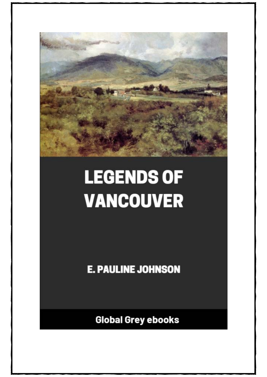

## **LEGENDS OF VANCOUVER**

**E. PAULINE JOHNSON** 

**Global Grey ebooks**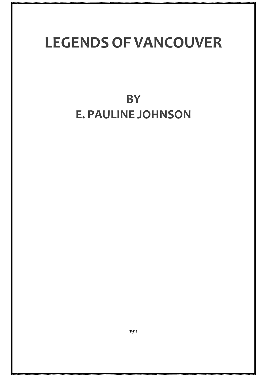## **LEGENDS OF VANCOUVER**

## **BY E. PAULINE JOHNSON**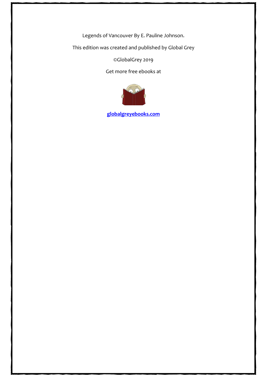Legends of Vancouver By E. Pauline Johnson.

This edition was created and published by Global Grey

©GlobalGrey 2019

Get more free ebooks at



**[globalgreyebooks.com](https://www.globalgreyebooks.com/index.html)**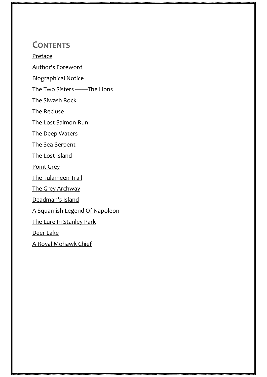## **CONTENTS**

[Preface](#page-4-0)

[Author's Foreword](#page-5-0)

[Biographical Notice](#page-6-0)

[The Two Sisters ——The Lions](#page-9-0)

[The Siwash Rock](#page-14-0)

[The Recluse](#page-19-0)

[The Lost Salmon-Run](#page-26-0)

[The Deep Waters](#page-32-0)

[The Sea-Serpent](#page-38-0)

[The Lost Island](#page-44-0)

[Point Grey](#page-48-0)

[The Tulameen Trail](#page-52-0)

[The Grey Archway](#page-58-0)

[Deadman's Island](#page-65-0)

[A Squamish Legend Of Napoleon](#page-71-0)

[The Lure In Stanley Park](#page-76-0)

[Deer Lake](#page-81-0)

[A Royal Mohawk Chief](#page-85-0)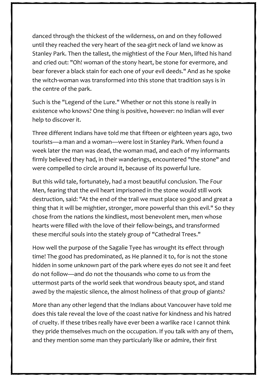danced through the thickest of the wilderness, on and on they followed until they reached the very heart of the sea-girt neck of land we know as Stanley Park. Then the tallest, the mightiest of the Four Men, lifted his hand and cried out: "Oh! woman of the stony heart, be stone for evermore, and bear forever a black stain for each one of your evil deeds." And as he spoke the witch-woman was transformed into this stone that tradition says is in the centre of the park.

Such is the "Legend of the Lure." Whether or not this stone is really in existence who knows? One thing is positive, however: no Indian will ever help to discover it.

Three different Indians have told me that fifteen or eighteen years ago, two tourists—a man and a woman—were lost in Stanley Park. When found a week later the man was dead, the woman mad, and each of my informants firmly believed they had, in their wanderings, encountered "the stone" and were compelled to circle around it, because of its powerful lure.

But this wild tale, fortunately, had a most beautiful conclusion. The Four Men, fearing that the evil heart imprisoned in the stone would still work destruction, said: "At the end of the trail we must place so good and great a thing that it will be mightier, stronger, more powerful than this evil." So they chose from the nations the kindliest, most benevolent men, men whose hearts were filled with the love of their fellow-beings, and transformed these merciful souls into the stately group of "Cathedral Trees."

How well the purpose of the Sagalie Tyee has wrought its effect through time! The good has predominated, as He planned it to, for is not the stone hidden in some unknown part of the park where eyes do not see it and feet do not follow—and do not the thousands who come to us from the uttermost parts of the world seek that wondrous beauty spot, and stand awed by the majestic silence, the almost holiness of that group of giants?

More than any other legend that the Indians about Vancouver have told me does this tale reveal the love of the coast native for kindness and his hatred of cruelty. If these tribes really have ever been a warlike race I cannot think they pride themselves much on the occupation. If you talk with any of them, and they mention some man they particularly like or admire, their first